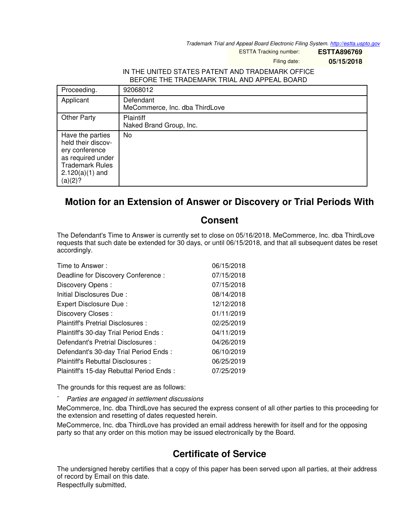*Trademark Trial and Appeal Board Electronic Filing System. <http://estta.uspto.gov>*

ESTTA Tracking number: **ESTTA896769**

Filing date: **05/15/2018**

## IN THE UNITED STATES PATENT AND TRADEMARK OFFICE BEFORE THE TRADEMARK TRIAL AND APPEAL BOARD

| Proceeding.                                                                                                                             | 92068012                                    |
|-----------------------------------------------------------------------------------------------------------------------------------------|---------------------------------------------|
| Applicant                                                                                                                               | Defendant<br>MeCommerce, Inc. dba ThirdLove |
| <b>Other Party</b>                                                                                                                      | <b>Plaintiff</b><br>Naked Brand Group, Inc. |
| Have the parties<br>held their discov-<br>ery conference<br>as required under<br><b>Trademark Rules</b><br>$2.120(a)(1)$ and<br>(a)(2)? | No                                          |

## **Motion for an Extension of Answer or Discovery or Trial Periods With**

## **Consent**

The Defendant's Time to Answer is currently set to close on 05/16/2018. MeCommerce, Inc. dba ThirdLove requests that such date be extended for 30 days, or until 06/15/2018, and that all subsequent dates be reset accordingly.

| Time to Answer:                          | 06/15/2018 |
|------------------------------------------|------------|
| Deadline for Discovery Conference:       | 07/15/2018 |
| Discovery Opens:                         | 07/15/2018 |
| Initial Disclosures Due:                 | 08/14/2018 |
| Expert Disclosure Due:                   | 12/12/2018 |
| Discovery Closes:                        | 01/11/2019 |
| Plaintiff's Pretrial Disclosures :       | 02/25/2019 |
| Plaintiff's 30-day Trial Period Ends:    | 04/11/2019 |
| Defendant's Pretrial Disclosures :       | 04/26/2019 |
| Defendant's 30-day Trial Period Ends:    | 06/10/2019 |
| Plaintiff's Rebuttal Disclosures:        | 06/25/2019 |
| Plaintiff's 15-day Rebuttal Period Ends: | 07/25/2019 |

The grounds for this request are as follows:

- *Parties are engaged in settlement discussions*

MeCommerce, Inc. dba ThirdLove has secured the express consent of all other parties to this proceeding for the extension and resetting of dates requested herein.

MeCommerce, Inc. dba ThirdLove has provided an email address herewith for itself and for the opposing party so that any order on this motion may be issued electronically by the Board.

## **Certificate of Service**

The undersigned hereby certifies that a copy of this paper has been served upon all parties, at their address of record by Email on this date.

Respectfully submitted,